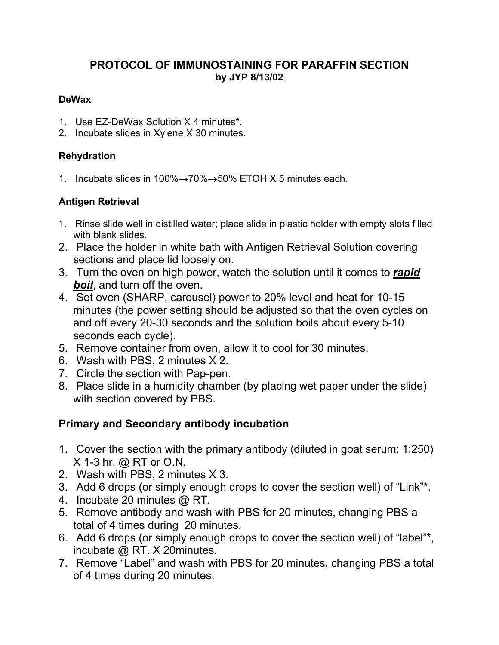## **PROTOCOL OF IMMUNOSTAINING FOR PARAFFIN SECTION by JYP 8/13/02**

#### **DeWax**

- 1. Use EZ-DeWax Solution X 4 minutes\*.
- 2. Incubate slides in Xylene X 30 minutes.

### **Rehydration**

1. Incubate slides in  $100\% \rightarrow 70\% \rightarrow 50\%$  ETOH X 5 minutes each.

## **Antigen Retrieval**

- 1. Rinse slide well in distilled water; place slide in plastic holder with empty slots filled with blank slides
- 2. Place the holder in white bath with Antigen Retrieval Solution covering sections and place lid loosely on.
- 3. Turn the oven on high power, watch the solution until it comes to *rapid boil*, and turn off the oven.
- 4. Set oven (SHARP, carousel) power to 20% level and heat for 10-15 minutes (the power setting should be adjusted so that the oven cycles on and off every 20-30 seconds and the solution boils about every 5-10 seconds each cycle).
- 5. Remove container from oven, allow it to cool for 30 minutes.
- 6. Wash with PBS, 2 minutes X 2.
- 7. Circle the section with Pap-pen.
- 8. Place slide in a humidity chamber (by placing wet paper under the slide) with section covered by PBS.

# **Primary and Secondary antibody incubation**

- 1. Cover the section with the primary antibody (diluted in goat serum: 1:250) X 1-3 hr. @ RT or O.N.
- 2. Wash with PBS, 2 minutes X 3.
- 3. Add 6 drops (or simply enough drops to cover the section well) of "Link"\*.
- 4. Incubate 20 minutes @ RT.
- 5. Remove antibody and wash with PBS for 20 minutes, changing PBS a total of 4 times during 20 minutes.
- 6. Add 6 drops (or simply enough drops to cover the section well) of "label"\*, incubate @ RT. X 20minutes.
- 7. Remove "Label" and wash with PBS for 20 minutes, changing PBS a total of 4 times during 20 minutes.